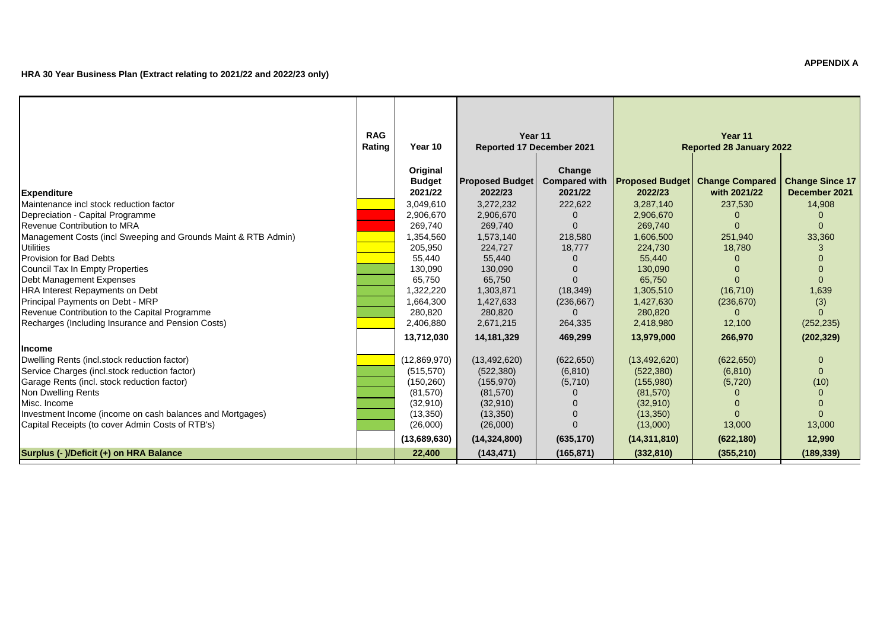|                                                                | <b>RAG</b> |               | Year 11                   |                      |                | Year 11                                    |                        |
|----------------------------------------------------------------|------------|---------------|---------------------------|----------------------|----------------|--------------------------------------------|------------------------|
|                                                                | Rating     | Year 10       | Reported 17 December 2021 |                      |                | <b>Reported 28 January 2022</b>            |                        |
|                                                                |            | Original      |                           | Change               |                |                                            |                        |
|                                                                |            | <b>Budget</b> | <b>Proposed Budget</b>    | <b>Compared with</b> |                | <b>Proposed Budget   Change Compared  </b> | <b>Change Since 17</b> |
| <b>Expenditure</b>                                             |            | 2021/22       | 2022/23                   | 2021/22              | 2022/23        | with 2021/22                               | December 2021          |
| Maintenance incl stock reduction factor                        |            | 3,049,610     | 3,272,232                 | 222,622              | 3,287,140      | 237,530                                    | 14,908                 |
| Depreciation - Capital Programme                               |            | 2,906,670     | 2,906,670                 |                      | 2,906,670      |                                            |                        |
| Revenue Contribution to MRA                                    |            | 269,740       | 269,740                   | O                    | 269,740        |                                            | $\Omega$               |
| Management Costs (incl Sweeping and Grounds Maint & RTB Admin) |            | 1,354,560     | 1,573,140                 | 218,580              | 1,606,500      | 251,940                                    | 33,360                 |
| <b>Utilities</b>                                               |            | 205,950       | 224,727                   | 18,777               | 224,730        | 18,780                                     |                        |
| Provision for Bad Debts                                        |            | 55,440        | 55,440                    |                      | 55,440         |                                            |                        |
| Council Tax In Empty Properties                                |            | 130,090       | 130,090                   |                      | 130,090        |                                            |                        |
| Debt Management Expenses                                       |            | 65,750        | 65,750                    |                      | 65,750         |                                            |                        |
| HRA Interest Repayments on Debt                                |            | 1,322,220     | 1,303,871                 | (18, 349)            | 1,305,510      | (16, 710)                                  | 1,639                  |
| Principal Payments on Debt - MRP                               |            | 1,664,300     | 1,427,633                 | (236, 667)           | 1,427,630      | (236, 670)                                 | (3)                    |
| Revenue Contribution to the Capital Programme                  |            | 280,820       | 280,820                   | O                    | 280,820        |                                            | $\Omega$               |
| Recharges (Including Insurance and Pension Costs)              |            | 2,406,880     | 2,671,215                 | 264,335              | 2,418,980      | 12,100                                     | (252, 235)             |
|                                                                |            | 13,712,030    | 14,181,329                | 469,299              | 13,979,000     | 266,970                                    | (202, 329)             |
| <b>Income</b>                                                  |            |               |                           |                      |                |                                            |                        |
| Dwelling Rents (incl.stock reduction factor)                   |            | (12,869,970)  | (13, 492, 620)            | (622, 650)           | (13, 492, 620) | (622, 650)                                 | $\Omega$               |
| Service Charges (incl.stock reduction factor)                  |            | (515, 570)    | (522, 380)                | (6, 810)             | (522, 380)     | (6, 810)                                   | $\Omega$               |
| Garage Rents (incl. stock reduction factor)                    |            | (150, 260)    | (155, 970)                | (5,710)              | (155,980)      | (5,720)                                    | (10)                   |
| Non Dwelling Rents                                             |            | (81,570)      | (81,570)                  |                      | (81,570)       |                                            |                        |
| Misc. Income                                                   |            | (32,910)      | (32, 910)                 |                      | (32,910)       |                                            |                        |
| Investment Income (income on cash balances and Mortgages)      |            | (13,350)      | (13,350)                  |                      | (13,350)       |                                            |                        |
| Capital Receipts (to cover Admin Costs of RTB's)               |            | (26,000)      | (26,000)                  |                      | (13,000)       | 13,000                                     | 13,000                 |
|                                                                |            | (13,689,630)  | (14, 324, 800)            | (635, 170)           | (14, 311, 810) | (622, 180)                                 | 12,990                 |
| Surplus (- )/Deficit (+) on HRA Balance                        |            | 22,400        | (143, 471)                | (165, 871)           | (332, 810)     | (355, 210)                                 | (189, 339)             |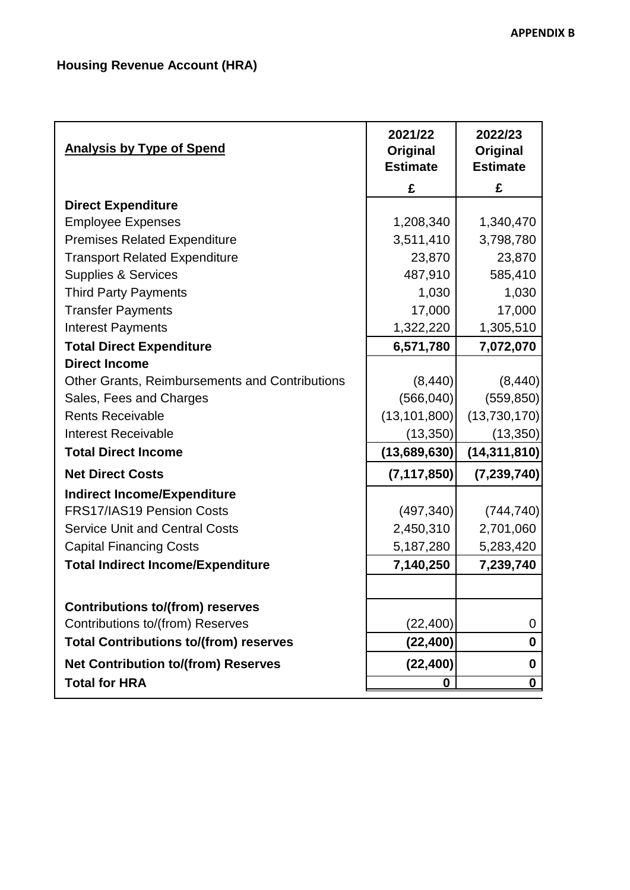| <b>Analysis by Type of Spend</b>                      | 2021/22<br>Original<br><b>Estimate</b> | 2022/23<br>Original<br><b>Estimate</b> |
|-------------------------------------------------------|----------------------------------------|----------------------------------------|
|                                                       | £                                      | £                                      |
| <b>Direct Expenditure</b>                             |                                        |                                        |
| <b>Employee Expenses</b>                              | 1,208,340                              | 1,340,470                              |
| <b>Premises Related Expenditure</b>                   | 3,511,410                              | 3,798,780                              |
| <b>Transport Related Expenditure</b>                  | 23,870                                 | 23,870                                 |
| <b>Supplies &amp; Services</b>                        | 487,910                                | 585,410                                |
| <b>Third Party Payments</b>                           | 1,030                                  | 1,030                                  |
| <b>Transfer Payments</b>                              | 17,000                                 | 17,000                                 |
| <b>Interest Payments</b>                              | 1,322,220                              | 1,305,510                              |
| <b>Total Direct Expenditure</b>                       | 6,571,780                              | 7,072,070                              |
| <b>Direct Income</b>                                  |                                        |                                        |
| <b>Other Grants, Reimbursements and Contributions</b> | (8,440)                                | (8, 440)                               |
| Sales, Fees and Charges                               | (566, 040)                             | (559, 850)                             |
| <b>Rents Receivable</b>                               | (13, 101, 800)                         | (13,730,170)                           |
| <b>Interest Receivable</b>                            | (13,350)                               | (13, 350)                              |
| <b>Total Direct Income</b>                            | (13,689,630)                           | (14, 311, 810)                         |
| <b>Net Direct Costs</b>                               | (7, 117, 850)                          | (7, 239, 740)                          |
| <b>Indirect Income/Expenditure</b>                    |                                        |                                        |
| <b>FRS17/IAS19 Pension Costs</b>                      | (497, 340)                             | (744, 740)                             |
| <b>Service Unit and Central Costs</b>                 | 2,450,310                              | 2,701,060                              |
| <b>Capital Financing Costs</b>                        | 5,187,280                              | 5,283,420                              |
| <b>Total Indirect Income/Expenditure</b>              | 7,140,250                              | 7,239,740                              |
|                                                       |                                        |                                        |
| <b>Contributions to/(from) reserves</b>               |                                        |                                        |
| Contributions to/(from) Reserves                      | (22, 400)                              | 0                                      |
| <b>Total Contributions to/(from) reserves</b>         | (22, 400)                              | 0                                      |
| <b>Net Contribution to/(from) Reserves</b>            | (22, 400)                              | 0                                      |
| <b>Total for HRA</b>                                  | 0                                      | $\bf 0$                                |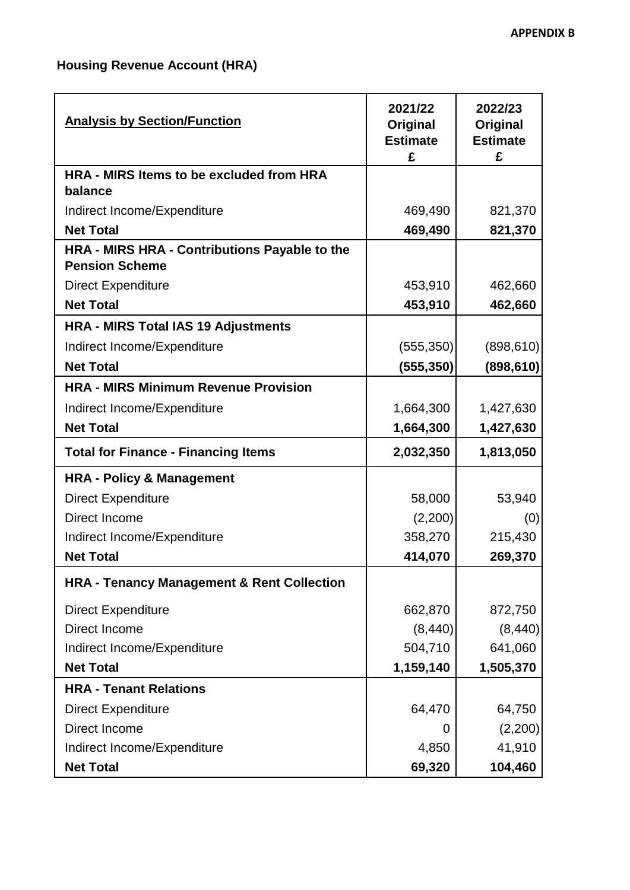# **Housing Revenue Account (HRA)**

| <b>Analysis by Section/Function</b>                                    | 2021/22<br>Original<br><b>Estimate</b><br>£ | 2022/23<br>Original<br><b>Estimate</b><br>£ |
|------------------------------------------------------------------------|---------------------------------------------|---------------------------------------------|
| HRA - MIRS Items to be excluded from HRA                               |                                             |                                             |
| balance                                                                |                                             |                                             |
| Indirect Income/Expenditure                                            | 469,490                                     | 821,370                                     |
| <b>Net Total</b>                                                       | 469,490                                     | 821,370                                     |
| HRA - MIRS HRA - Contributions Payable to the<br><b>Pension Scheme</b> |                                             |                                             |
| <b>Direct Expenditure</b>                                              | 453,910                                     | 462,660                                     |
| <b>Net Total</b>                                                       | 453,910                                     | 462,660                                     |
| <b>HRA - MIRS Total IAS 19 Adjustments</b>                             |                                             |                                             |
| Indirect Income/Expenditure                                            | (555, 350)                                  | (898, 610)                                  |
| <b>Net Total</b>                                                       | (555, 350)                                  | (898, 610)                                  |
| <b>HRA - MIRS Minimum Revenue Provision</b>                            |                                             |                                             |
| Indirect Income/Expenditure                                            | 1,664,300                                   | 1,427,630                                   |
| <b>Net Total</b>                                                       | 1,664,300                                   | 1,427,630                                   |
| <b>Total for Finance - Financing Items</b>                             | 2,032,350                                   | 1,813,050                                   |
| <b>HRA - Policy &amp; Management</b>                                   |                                             |                                             |
| <b>Direct Expenditure</b>                                              | 58,000                                      | 53,940                                      |
| Direct Income                                                          | (2,200)                                     | (0)                                         |
| Indirect Income/Expenditure                                            | 358,270                                     | 215,430                                     |
| <b>Net Total</b>                                                       | 414,070                                     | 269,370                                     |
| <b>HRA - Tenancy Management &amp; Rent Collection</b>                  |                                             |                                             |
| <b>Direct Expenditure</b>                                              | 662,870                                     | 872,750                                     |
| Direct Income                                                          | (8, 440)                                    | (8, 440)                                    |
| Indirect Income/Expenditure                                            | 504,710                                     | 641,060                                     |
| <b>Net Total</b>                                                       | 1,159,140                                   | 1,505,370                                   |
| <b>HRA - Tenant Relations</b>                                          |                                             |                                             |
| <b>Direct Expenditure</b>                                              | 64,470                                      | 64,750                                      |
| Direct Income                                                          | $\Omega$                                    | (2,200)                                     |
| Indirect Income/Expenditure                                            | 4,850                                       | 41,910                                      |
| <b>Net Total</b>                                                       | 69,320                                      | 104,460                                     |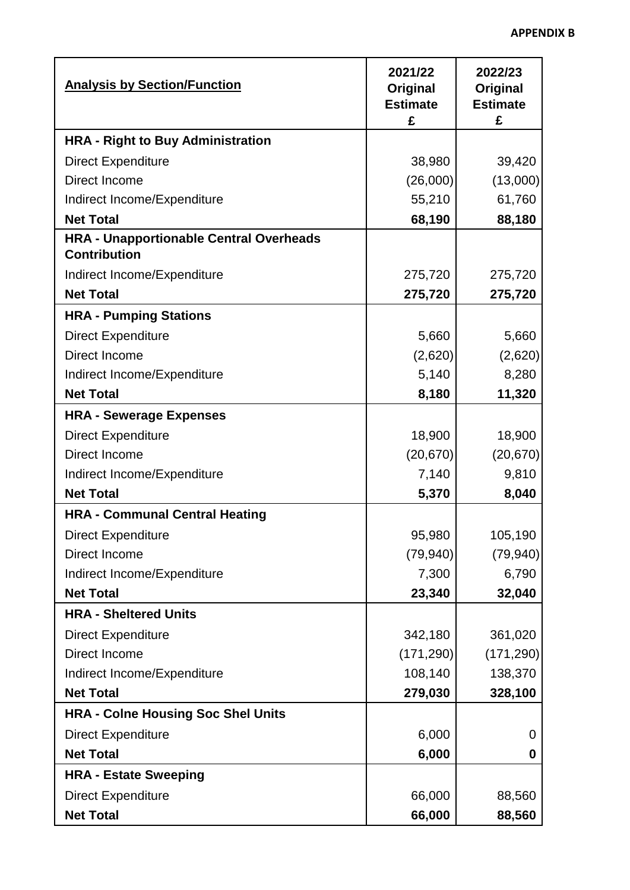۰

| <b>Analysis by Section/Function</b>            | 2021/22<br>Original<br><b>Estimate</b><br>£ | 2022/23<br>Original<br><b>Estimate</b><br>£ |
|------------------------------------------------|---------------------------------------------|---------------------------------------------|
| <b>HRA - Right to Buy Administration</b>       |                                             |                                             |
| <b>Direct Expenditure</b>                      | 38,980                                      | 39,420                                      |
| Direct Income                                  | (26,000)                                    | (13,000)                                    |
| Indirect Income/Expenditure                    | 55,210                                      | 61,760                                      |
| <b>Net Total</b>                               | 68,190                                      | 88,180                                      |
| <b>HRA - Unapportionable Central Overheads</b> |                                             |                                             |
| <b>Contribution</b>                            |                                             |                                             |
| Indirect Income/Expenditure                    | 275,720                                     | 275,720                                     |
| <b>Net Total</b>                               | 275,720                                     | 275,720                                     |
| <b>HRA - Pumping Stations</b>                  |                                             |                                             |
| <b>Direct Expenditure</b>                      | 5,660                                       | 5,660                                       |
| Direct Income                                  | (2,620)                                     | (2,620)                                     |
| Indirect Income/Expenditure                    | 5,140                                       | 8,280                                       |
| <b>Net Total</b>                               | 8,180                                       | 11,320                                      |
| <b>HRA - Sewerage Expenses</b>                 |                                             |                                             |
| <b>Direct Expenditure</b>                      | 18,900                                      | 18,900                                      |
| Direct Income                                  | (20, 670)                                   | (20, 670)                                   |
| Indirect Income/Expenditure                    | 7,140                                       | 9,810                                       |
| <b>Net Total</b>                               | 5,370                                       | 8,040                                       |
| <b>HRA - Communal Central Heating</b>          |                                             |                                             |
| <b>Direct Expenditure</b>                      | 95,980                                      | 105,190                                     |
| Direct Income                                  | (79, 940)                                   | (79, 940)                                   |
| Indirect Income/Expenditure                    | 7,300                                       | 6,790                                       |
| <b>Net Total</b>                               | 23,340                                      | 32,040                                      |
| <b>HRA - Sheltered Units</b>                   |                                             |                                             |
| <b>Direct Expenditure</b>                      | 342,180                                     | 361,020                                     |
| Direct Income                                  | (171, 290)                                  | (171, 290)                                  |
| Indirect Income/Expenditure                    | 108,140                                     | 138,370                                     |
| <b>Net Total</b>                               | 279,030                                     | 328,100                                     |
| <b>HRA - Colne Housing Soc Shel Units</b>      |                                             |                                             |
| <b>Direct Expenditure</b>                      | 6,000                                       | $\Omega$                                    |
| <b>Net Total</b>                               | 6,000                                       | 0                                           |
| <b>HRA - Estate Sweeping</b>                   |                                             |                                             |
| <b>Direct Expenditure</b>                      | 66,000                                      | 88,560                                      |
| <b>Net Total</b>                               | 66,000                                      | 88,560                                      |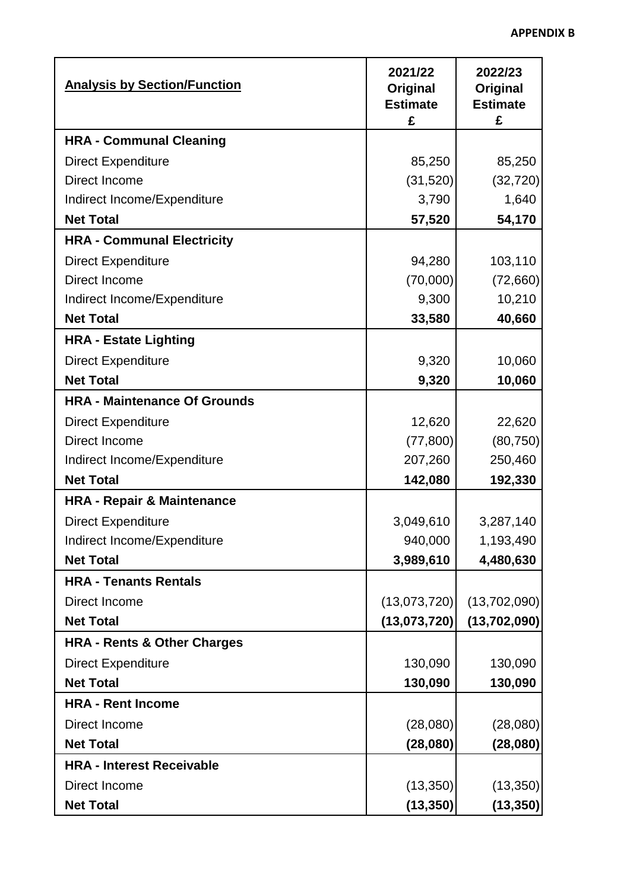J.

| <b>Analysis by Section/Function</b>    | 2021/22<br>Original<br><b>Estimate</b> | 2022/23<br>Original<br><b>Estimate</b> |
|----------------------------------------|----------------------------------------|----------------------------------------|
|                                        | £                                      | £                                      |
| <b>HRA - Communal Cleaning</b>         |                                        |                                        |
| <b>Direct Expenditure</b>              | 85,250                                 | 85,250                                 |
| Direct Income                          | (31, 520)                              | (32, 720)                              |
| Indirect Income/Expenditure            | 3,790                                  | 1,640                                  |
| <b>Net Total</b>                       | 57,520                                 | 54,170                                 |
| <b>HRA - Communal Electricity</b>      |                                        |                                        |
| <b>Direct Expenditure</b>              | 94,280                                 | 103,110                                |
| Direct Income                          | (70,000)                               | (72,660)                               |
| Indirect Income/Expenditure            | 9,300                                  | 10,210                                 |
| <b>Net Total</b>                       | 33,580                                 | 40,660                                 |
| <b>HRA - Estate Lighting</b>           |                                        |                                        |
| <b>Direct Expenditure</b>              | 9,320                                  | 10,060                                 |
| <b>Net Total</b>                       | 9,320                                  | 10,060                                 |
| <b>HRA - Maintenance Of Grounds</b>    |                                        |                                        |
| <b>Direct Expenditure</b>              | 12,620                                 | 22,620                                 |
| Direct Income                          | (77, 800)                              | (80, 750)                              |
| Indirect Income/Expenditure            | 207,260                                | 250,460                                |
| <b>Net Total</b>                       | 142,080                                | 192,330                                |
| <b>HRA - Repair &amp; Maintenance</b>  |                                        |                                        |
| <b>Direct Expenditure</b>              | 3,049,610                              | 3,287,140                              |
| Indirect Income/Expenditure            | 940,000                                | 1,193,490                              |
| <b>Net Total</b>                       | 3,989,610                              | 4,480,630                              |
| <b>HRA - Tenants Rentals</b>           |                                        |                                        |
| Direct Income                          | (13,073,720)                           | (13,702,090)                           |
| <b>Net Total</b>                       | (13,073,720)                           | (13,702,090)                           |
| <b>HRA - Rents &amp; Other Charges</b> |                                        |                                        |
| <b>Direct Expenditure</b>              | 130,090                                | 130,090                                |
| <b>Net Total</b>                       | 130,090                                | 130,090                                |
| <b>HRA - Rent Income</b>               |                                        |                                        |
| Direct Income                          | (28,080)                               | (28,080)                               |
| <b>Net Total</b>                       | (28,080)                               | (28,080)                               |
| <b>HRA - Interest Receivable</b>       |                                        |                                        |
| Direct Income                          | (13, 350)                              | (13, 350)                              |
| <b>Net Total</b>                       | (13, 350)                              | (13, 350)                              |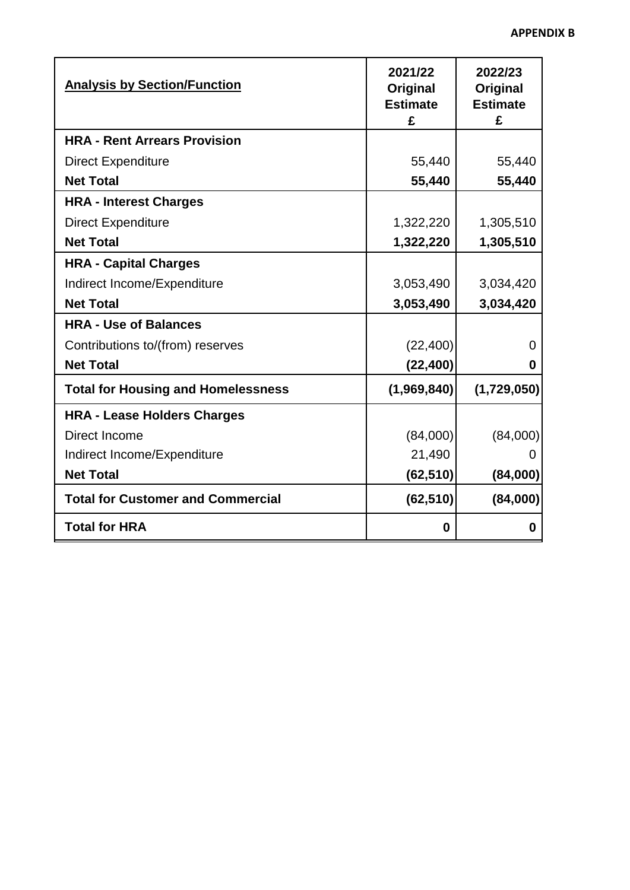| <b>Analysis by Section/Function</b>       | 2021/22<br>Original<br><b>Estimate</b><br>£ | 2022/23<br>Original<br><b>Estimate</b><br>£ |
|-------------------------------------------|---------------------------------------------|---------------------------------------------|
| <b>HRA - Rent Arrears Provision</b>       |                                             |                                             |
| <b>Direct Expenditure</b>                 | 55,440                                      | 55,440                                      |
| <b>Net Total</b>                          | 55,440                                      | 55,440                                      |
| <b>HRA - Interest Charges</b>             |                                             |                                             |
| <b>Direct Expenditure</b>                 | 1,322,220                                   | 1,305,510                                   |
| <b>Net Total</b>                          | 1,322,220                                   | 1,305,510                                   |
| <b>HRA - Capital Charges</b>              |                                             |                                             |
| Indirect Income/Expenditure               | 3,053,490                                   | 3,034,420                                   |
| <b>Net Total</b>                          | 3,053,490                                   | 3,034,420                                   |
| <b>HRA - Use of Balances</b>              |                                             |                                             |
| Contributions to/(from) reserves          | (22, 400)                                   | $\Omega$                                    |
| <b>Net Total</b>                          | (22, 400)                                   | 0                                           |
| <b>Total for Housing and Homelessness</b> | (1,969,840)                                 | (1,729,050)                                 |
| <b>HRA - Lease Holders Charges</b>        |                                             |                                             |
| Direct Income                             | (84,000)                                    | (84,000)                                    |
| Indirect Income/Expenditure               | 21,490                                      |                                             |
| <b>Net Total</b>                          | (62, 510)                                   | (84,000)                                    |
| <b>Total for Customer and Commercial</b>  | (62, 510)                                   | (84,000)                                    |
| <b>Total for HRA</b>                      | 0                                           | 0                                           |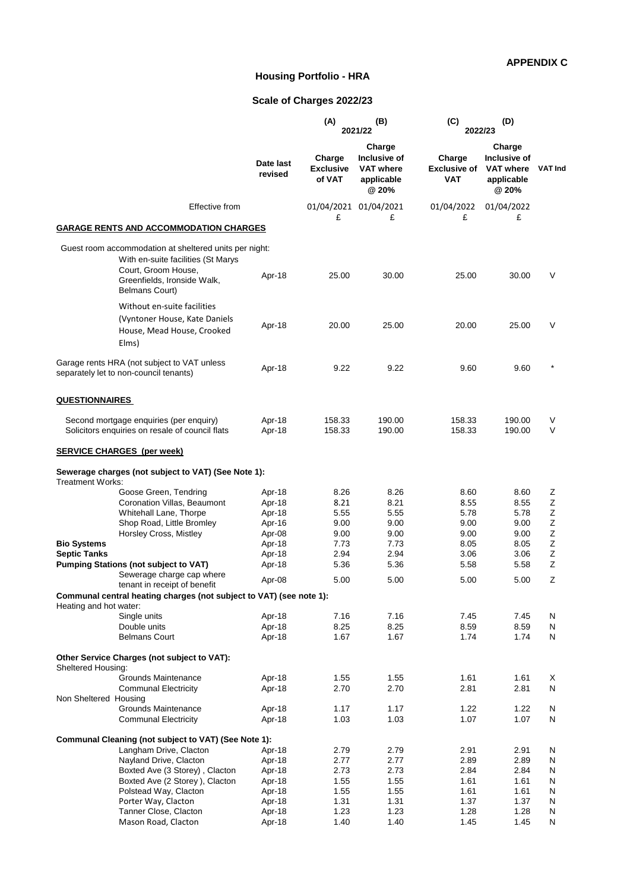#### **APPENDIX C**

### **Housing Portfolio - HRA**

### **Scale of Charges 2022/23**

|                                                                                                                     |                      | (A)                                  | (B)<br>2021/22                                                    | (C)                                         | (D)<br>2022/23                                                    |                |
|---------------------------------------------------------------------------------------------------------------------|----------------------|--------------------------------------|-------------------------------------------------------------------|---------------------------------------------|-------------------------------------------------------------------|----------------|
|                                                                                                                     | Date last<br>revised | Charge<br><b>Exclusive</b><br>of VAT | Charge<br>Inclusive of<br><b>VAT where</b><br>applicable<br>@ 20% | Charge<br><b>Exclusive of</b><br><b>VAT</b> | Charge<br>Inclusive of<br><b>VAT where</b><br>applicable<br>@ 20% | <b>VAT Ind</b> |
| Effective from                                                                                                      |                      |                                      | 01/04/2021 01/04/2021                                             | 01/04/2022                                  | 01/04/2022                                                        |                |
| <b>GARAGE RENTS AND ACCOMMODATION CHARGES</b>                                                                       |                      | £                                    | £                                                                 | £                                           | £                                                                 |                |
| Guest room accommodation at sheltered units per night:<br>With en-suite facilities (St Marys<br>Court, Groom House, |                      |                                      |                                                                   |                                             |                                                                   |                |
| Greenfields, Ironside Walk,<br>Belmans Court)                                                                       | Apr-18               | 25.00                                | 30.00                                                             | 25.00                                       | 30.00                                                             | V              |
| Without en-suite facilities<br>(Vyntoner House, Kate Daniels<br>House, Mead House, Crooked<br>Elms)                 | Apr-18               | 20.00                                | 25.00                                                             | 20.00                                       | 25.00                                                             | V              |
| Garage rents HRA (not subject to VAT unless<br>separately let to non-council tenants)                               | Apr-18               | 9.22                                 | 9.22                                                              | 9.60                                        | 9.60                                                              |                |
| <b>QUESTIONNAIRES</b>                                                                                               |                      |                                      |                                                                   |                                             |                                                                   |                |
| Second mortgage enquiries (per enquiry)<br>Solicitors enquiries on resale of council flats                          | Apr-18<br>Apr-18     | 158.33<br>158.33                     | 190.00<br>190.00                                                  | 158.33<br>158.33                            | 190.00<br>190.00                                                  | V<br>V         |
| <b>SERVICE CHARGES (per week)</b>                                                                                   |                      |                                      |                                                                   |                                             |                                                                   |                |
| Sewerage charges (not subject to VAT) (See Note 1):<br><b>Treatment Works:</b>                                      |                      |                                      |                                                                   |                                             |                                                                   |                |
| Goose Green, Tendring                                                                                               | Apr-18               | 8.26                                 | 8.26                                                              | 8.60                                        | 8.60                                                              | Ζ              |
| Coronation Villas, Beaumont                                                                                         | Apr-18               | 8.21                                 | 8.21                                                              | 8.55                                        | 8.55                                                              | Ζ              |
| Whitehall Lane, Thorpe                                                                                              | Apr-18               | 5.55                                 | 5.55                                                              | 5.78                                        | 5.78                                                              | Ζ              |
| Shop Road, Little Bromley                                                                                           | Apr-16               | 9.00                                 | 9.00                                                              | 9.00                                        | 9.00                                                              | $\mathsf Z$    |
| Horsley Cross, Mistley                                                                                              | Apr-08               | 9.00                                 | 9.00                                                              | 9.00                                        | 9.00                                                              | Ζ              |
| <b>Bio Systems</b>                                                                                                  | Apr-18               | 7.73                                 | 7.73                                                              | 8.05                                        | 8.05                                                              | $\mathsf Z$    |
| <b>Septic Tanks</b>                                                                                                 | Apr-18               | 2.94                                 | 2.94                                                              | 3.06                                        | 3.06                                                              | Ζ              |
| <b>Pumping Stations (not subject to VAT)</b>                                                                        | Apr-18               | 5.36                                 | 5.36                                                              | 5.58                                        | 5.58                                                              | Ζ              |
| Sewerage charge cap where<br>tenant in receipt of benefit                                                           | Apr-08               | 5.00                                 | 5.00                                                              | 5.00                                        | 5.00                                                              | Z              |
| Communal central heating charges (not subject to VAT) (see note 1):                                                 |                      |                                      |                                                                   |                                             |                                                                   |                |
| Heating and hot water:                                                                                              |                      |                                      |                                                                   |                                             |                                                                   |                |
| Single units                                                                                                        | Apr-18               | 7.16                                 | 7.16                                                              | 7.45                                        | 7.45                                                              | N              |
| Double units                                                                                                        | Apr-18               | 8.25                                 | 8.25                                                              | 8.59                                        | 8.59                                                              | N              |
| <b>Belmans Court</b>                                                                                                | Apr-18               | 1.67                                 | 1.67                                                              | 1.74                                        | 1.74                                                              | N              |
| Other Service Charges (not subject to VAT):<br>Sheltered Housing:                                                   |                      |                                      |                                                                   |                                             |                                                                   |                |
| Grounds Maintenance                                                                                                 | Apr-18               | 1.55                                 | 1.55                                                              | 1.61                                        | 1.61                                                              | X              |
| <b>Communal Electricity</b>                                                                                         | Apr-18               | 2.70                                 | 2.70                                                              | 2.81                                        | 2.81                                                              | N              |
| Non Sheltered Housing                                                                                               |                      |                                      |                                                                   |                                             |                                                                   |                |
| Grounds Maintenance                                                                                                 | Apr-18               | 1.17                                 | 1.17                                                              | 1.22                                        | 1.22                                                              | N              |
| <b>Communal Electricity</b>                                                                                         | Apr-18               | 1.03                                 | 1.03                                                              | 1.07                                        | 1.07                                                              | N              |
| Communal Cleaning (not subject to VAT) (See Note 1):<br>Langham Drive, Clacton                                      | Apr-18               | 2.79                                 | 2.79                                                              | 2.91                                        | 2.91                                                              | N              |
| Nayland Drive, Clacton                                                                                              | Apr-18               | 2.77                                 | 2.77                                                              | 2.89                                        | 2.89                                                              | N              |
| Boxted Ave (3 Storey), Clacton                                                                                      | Apr-18               | 2.73                                 | 2.73                                                              | 2.84                                        | 2.84                                                              | N              |
| Boxted Ave (2 Storey), Clacton                                                                                      | Apr-18               | 1.55                                 | 1.55                                                              | 1.61                                        | 1.61                                                              | N              |
| Polstead Way, Clacton                                                                                               | Apr-18               | 1.55                                 | 1.55                                                              | 1.61                                        | 1.61                                                              | N              |
| Porter Way, Clacton                                                                                                 | Apr-18               | 1.31                                 | 1.31                                                              | 1.37                                        | 1.37                                                              | N              |
| Tanner Close, Clacton                                                                                               | Apr-18               | 1.23                                 | 1.23                                                              | 1.28                                        | 1.28                                                              | N              |
| Mason Road, Clacton                                                                                                 | Apr-18               | 1.40                                 | 1.40                                                              | 1.45                                        | 1.45                                                              | N              |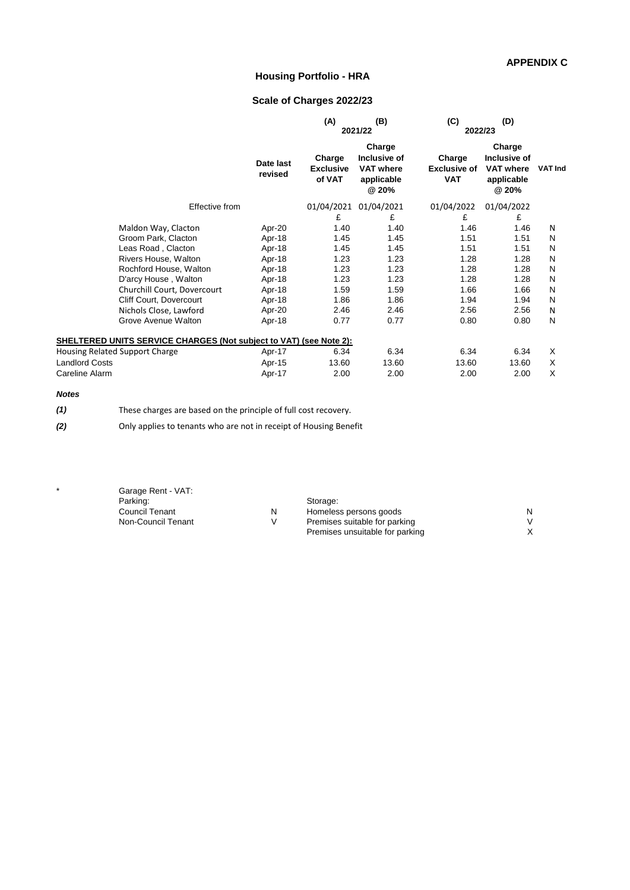#### **APPENDIX C**

### **Housing Portfolio - HRA**

### **Scale of Charges 2022/23**

|                                                                    |                |                      | (A)                                  | (B)<br>2021/22                                                    | (C)<br>2022/23                              | (D)                                                               |                |
|--------------------------------------------------------------------|----------------|----------------------|--------------------------------------|-------------------------------------------------------------------|---------------------------------------------|-------------------------------------------------------------------|----------------|
|                                                                    |                | Date last<br>revised | Charge<br><b>Exclusive</b><br>of VAT | Charge<br>Inclusive of<br><b>VAT where</b><br>applicable<br>@ 20% | Charge<br><b>Exclusive of</b><br><b>VAT</b> | Charge<br>Inclusive of<br><b>VAT where</b><br>applicable<br>@ 20% | <b>VAT Ind</b> |
|                                                                    | Effective from |                      | 01/04/2021                           | 01/04/2021                                                        | 01/04/2022                                  | 01/04/2022                                                        |                |
|                                                                    |                |                      | £                                    | £                                                                 | £                                           | £                                                                 |                |
| Maldon Way, Clacton                                                |                | Apr-20               | 1.40                                 | 1.40                                                              | 1.46                                        | 1.46                                                              | N              |
| Groom Park, Clacton                                                |                | Apr-18               | 1.45                                 | 1.45                                                              | 1.51                                        | 1.51                                                              | N              |
| Leas Road, Clacton                                                 |                | Apr-18               | 1.45                                 | 1.45                                                              | 1.51                                        | 1.51                                                              | N              |
| Rivers House, Walton                                               |                | Apr-18               | 1.23                                 | 1.23                                                              | 1.28                                        | 1.28                                                              | N              |
| Rochford House, Walton                                             |                | Apr-18               | 1.23                                 | 1.23                                                              | 1.28                                        | 1.28                                                              | N              |
| D'arcy House, Walton                                               |                | Apr-18               | 1.23                                 | 1.23                                                              | 1.28                                        | 1.28                                                              | N              |
| Churchill Court, Dovercourt                                        |                | Apr-18               | 1.59                                 | 1.59                                                              | 1.66                                        | 1.66                                                              | N              |
| Cliff Court, Dovercourt                                            |                | Apr-18               | 1.86                                 | 1.86                                                              | 1.94                                        | 1.94                                                              | N              |
| Nichols Close, Lawford                                             |                | Apr-20               | 2.46                                 | 2.46                                                              | 2.56                                        | 2.56                                                              | N              |
| Grove Avenue Walton                                                |                | Apr-18               | 0.77                                 | 0.77                                                              | 0.80                                        | 0.80                                                              | N              |
| SHELTERED UNITS SERVICE CHARGES (Not subject to VAT) (see Note 2): |                |                      |                                      |                                                                   |                                             |                                                                   |                |
| <b>Housing Related Support Charge</b>                              |                | Apr-17               | 6.34                                 | 6.34                                                              | 6.34                                        | 6.34                                                              | X              |
| <b>Landlord Costs</b>                                              |                | Apr-15               | 13.60                                | 13.60                                                             | 13.60                                       | 13.60                                                             | X              |
| Careline Alarm                                                     |                | Apr-17               | 2.00                                 | 2.00                                                              | 2.00                                        | 2.00                                                              | X              |
|                                                                    |                |                      |                                      |                                                                   |                                             |                                                                   |                |

#### *Notes*

*(1)* These charges are based on the principle of full cost recovery.

*(2)* Only applies to tenants who are not in receipt of Housing Benefit

| Garage Rent - VAT: |    |                                 |   |
|--------------------|----|---------------------------------|---|
| Parking:           |    | Storage:                        |   |
| Council Tenant     | N. | Homeless persons goods          | N |
| Non-Council Tenant | V  | Premises suitable for parking   |   |
|                    |    | Premises unsuitable for parking |   |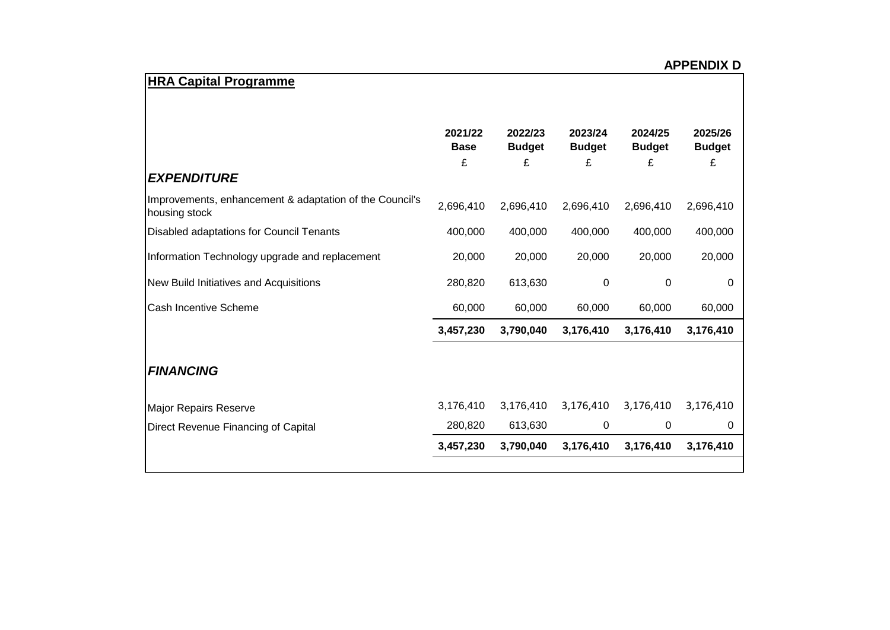| <b>HRA Capital Programme</b>                                             |                             |                               |                               |                               |                               |
|--------------------------------------------------------------------------|-----------------------------|-------------------------------|-------------------------------|-------------------------------|-------------------------------|
| <b>EXPENDITURE</b>                                                       | 2021/22<br><b>Base</b><br>£ | 2022/23<br><b>Budget</b><br>£ | 2023/24<br><b>Budget</b><br>£ | 2024/25<br><b>Budget</b><br>£ | 2025/26<br><b>Budget</b><br>£ |
| Improvements, enhancement & adaptation of the Council's<br>housing stock | 2,696,410                   | 2,696,410                     | 2,696,410                     | 2,696,410                     | 2,696,410                     |
| Disabled adaptations for Council Tenants                                 | 400,000                     | 400,000                       | 400,000                       | 400,000                       | 400,000                       |
| Information Technology upgrade and replacement                           | 20,000                      | 20,000                        | 20,000                        | 20,000                        | 20,000                        |
| New Build Initiatives and Acquisitions                                   | 280,820                     | 613,630                       | 0                             | 0                             | 0                             |
| <b>Cash Incentive Scheme</b>                                             | 60,000                      | 60,000                        | 60,000                        | 60,000                        | 60,000                        |
|                                                                          | 3,457,230                   | 3,790,040                     | 3,176,410                     | 3,176,410                     | 3,176,410                     |
| <b>FINANCING</b>                                                         |                             |                               |                               |                               |                               |
| Major Repairs Reserve                                                    | 3,176,410                   | 3,176,410                     | 3,176,410                     | 3,176,410                     | 3,176,410                     |
| Direct Revenue Financing of Capital                                      | 280,820                     | 613,630                       | 0                             | 0                             | 0                             |
|                                                                          | 3,457,230                   | 3,790,040                     | 3,176,410                     | 3,176,410                     | 3,176,410                     |
|                                                                          |                             |                               |                               |                               |                               |